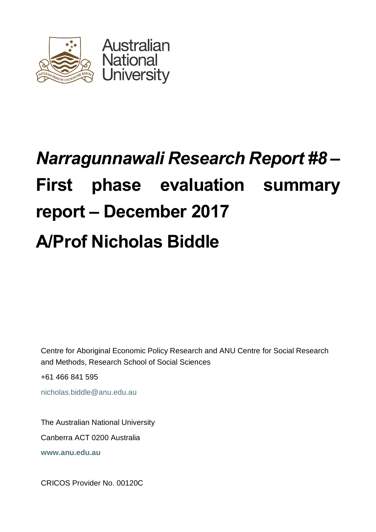

# *Narragunnawali Research Report #8* **– First phase evaluation summary report – December 2017 A/Prof Nicholas Biddle**

Centre for Aboriginal Economic Policy Research and ANU Centre for Social Research and Methods, Research School of Social Sciences

+61 466 841 595

nicholas.biddle@anu.edu.au

The Australian National University Canberra ACT 0200 Australia **www.anu.edu.au**

CRICOS Provider No. 00120C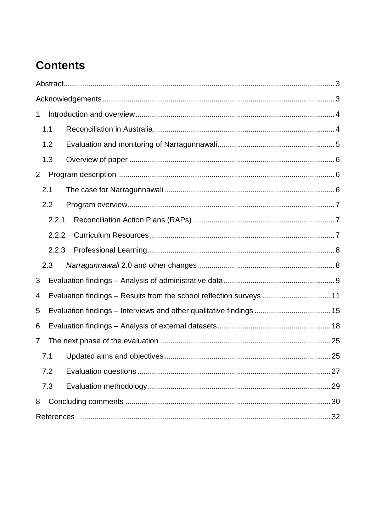# **Contents**

| 1                                                                         |
|---------------------------------------------------------------------------|
| 1.1                                                                       |
| 1.2                                                                       |
| 1.3                                                                       |
| $\overline{2}$                                                            |
| 2.1                                                                       |
| 2.2                                                                       |
| 2.2.1                                                                     |
| 2.2.2                                                                     |
| 2.2.3                                                                     |
| 2.3                                                                       |
| 3                                                                         |
| Evaluation findings - Results from the school reflection surveys  11<br>4 |
| Evaluation findings - Interviews and other qualitative findings  15<br>5  |
| 6                                                                         |
| $\overline{7}$                                                            |
| 7.1                                                                       |
| 7.2<br>27                                                                 |
| 7.3                                                                       |
| 8                                                                         |
|                                                                           |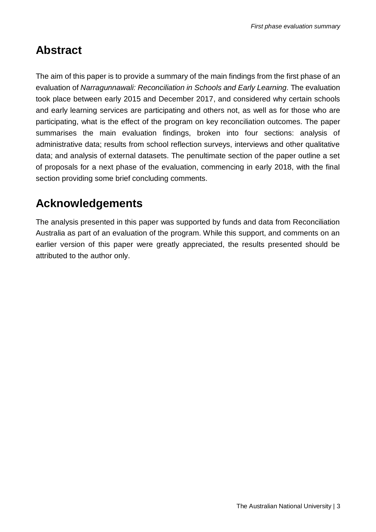### <span id="page-2-0"></span>**Abstract**

<span id="page-2-1"></span>The aim of this paper is to provide a summary of the main findings from the first phase of an evaluation of *Narragunnawali: Reconciliation in Schools and Early Learning.* The evaluation took place between early 2015 and December 2017, and considered why certain schools and early learning services are participating and others not, as well as for those who are participating, what is the effect of the program on key reconciliation outcomes. The paper summarises the main evaluation findings, broken into four sections: analysis of administrative data; results from school reflection surveys, interviews and other qualitative data; and analysis of external datasets. The penultimate section of the paper outline a set of proposals for a next phase of the evaluation, commencing in early 2018, with the final section providing some brief concluding comments.

## **Acknowledgements**

The analysis presented in this paper was supported by funds and data from Reconciliation Australia as part of an evaluation of the program. While this support, and comments on an earlier version of this paper were greatly appreciated, the results presented should be attributed to the author only.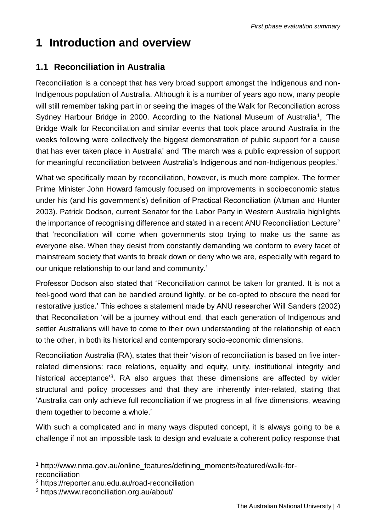# <span id="page-3-0"></span>**1 Introduction and overview**

#### <span id="page-3-1"></span>**1.1 Reconciliation in Australia**

Reconciliation is a concept that has very broad support amongst the Indigenous and non-Indigenous population of Australia. Although it is a number of years ago now, many people will still remember taking part in or seeing the images of the Walk for Reconciliation across Sydney Harbour Bridge in 2000. According to the National Museum of Australia<sup>1</sup>, 'The Bridge Walk for Reconciliation and similar events that took place around Australia in the weeks following were collectively the biggest demonstration of public support for a cause that has ever taken place in Australia' and 'The march was a public expression of support for meaningful reconciliation between Australia's Indigenous and non-Indigenous peoples.'

What we specifically mean by reconciliation, however, is much more complex. The former Prime Minister John Howard famously focused on improvements in socioeconomic status under his (and his government's) definition of Practical Reconciliation (Altman and Hunter 2003). Patrick Dodson, current Senator for the Labor Party in Western Australia highlights the importance of recognising difference and stated in a recent ANU Reconciliation Lecture<sup>2</sup> that 'reconciliation will come when governments stop trying to make us the same as everyone else. When they desist from constantly demanding we conform to every facet of mainstream society that wants to break down or deny who we are, especially with regard to our unique relationship to our land and community.'

Professor Dodson also stated that 'Reconciliation cannot be taken for granted. It is not a feel-good word that can be bandied around lightly, or be co-opted to obscure the need for restorative justice.' This echoes a statement made by ANU researcher Will Sanders (2002) that Reconciliation 'will be a journey without end, that each generation of Indigenous and settler Australians will have to come to their own understanding of the relationship of each to the other, in both its historical and contemporary socio-economic dimensions.

Reconciliation Australia (RA), states that their 'vision of reconciliation is based on five interrelated dimensions: race relations, equality and equity, unity, institutional integrity and historical acceptance<sup>3</sup>. RA also argues that these dimensions are affected by wider structural and policy processes and that they are inherently inter-related, stating that 'Australia can only achieve full reconciliation if we progress in all five dimensions, weaving them together to become a whole.'

With such a complicated and in many ways disputed concept, it is always going to be a challenge if not an impossible task to design and evaluate a coherent policy response that

l <sup>1</sup> http://www.nma.gov.au/online\_features/defining\_moments/featured/walk-forreconciliation

<sup>2</sup> https://reporter.anu.edu.au/road-reconciliation

<sup>3</sup> https://www.reconciliation.org.au/about/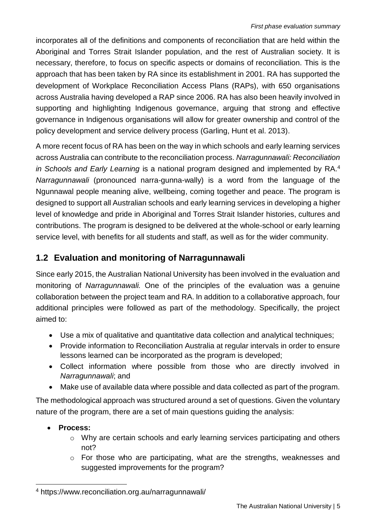incorporates all of the definitions and components of reconciliation that are held within the Aboriginal and Torres Strait Islander population, and the rest of Australian society. It is necessary, therefore, to focus on specific aspects or domains of reconciliation. This is the approach that has been taken by RA since its establishment in 2001. RA has supported the development of Workplace Reconciliation Access Plans (RAPs), with 650 organisations across Australia having developed a RAP since 2006. RA has also been heavily involved in supporting and highlighting Indigenous governance, arguing that strong and effective governance in Indigenous organisations will allow for greater ownership and control of the policy development and service delivery process (Garling, Hunt et al. 2013).

A more recent focus of RA has been on the way in which schools and early learning services across Australia can contribute to the reconciliation process. *Narragunnawali: Reconciliation in Schools and Early Learning* is a national program designed and implemented by RA. 4 *Narragunnawali* (pronounced narra-gunna-wally) is a word from the language of the Ngunnawal people meaning alive, wellbeing, coming together and peace. The program is designed to support all Australian schools and early learning services in developing a higher level of knowledge and pride in Aboriginal and Torres Strait Islander histories, cultures and contributions. The program is designed to be delivered at the whole-school or early learning service level, with benefits for all students and staff, as well as for the wider community.

#### <span id="page-4-0"></span>**1.2 Evaluation and monitoring of Narragunnawali**

Since early 2015, the Australian National University has been involved in the evaluation and monitoring of *Narragunnawali.* One of the principles of the evaluation was a genuine collaboration between the project team and RA. In addition to a collaborative approach, four additional principles were followed as part of the methodology. Specifically, the project aimed to:

- Use a mix of qualitative and quantitative data collection and analytical techniques;
- Provide information to Reconciliation Australia at regular intervals in order to ensure lessons learned can be incorporated as the program is developed;
- Collect information where possible from those who are directly involved in *Narragunnawali*; and
- Make use of available data where possible and data collected as part of the program.

The methodological approach was structured around a set of questions. Given the voluntary nature of the program, there are a set of main questions guiding the analysis:

• **Process:**

l

- o Why are certain schools and early learning services participating and others not?
- o For those who are participating, what are the strengths, weaknesses and suggested improvements for the program?

<sup>4</sup> https://www.reconciliation.org.au/narragunnawali/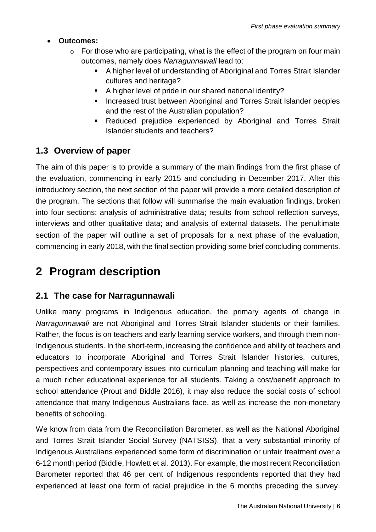#### • **Outcomes:**

- $\circ$  For those who are participating, what is the effect of the program on four main outcomes, namely does *Narragunnawali* lead to:
	- A higher level of understanding of Aboriginal and Torres Strait Islander cultures and heritage?
	- A higher level of pride in our shared national identity?
	- Increased trust between Aboriginal and Torres Strait Islander peoples and the rest of the Australian population?
	- **EXECUTEE:** Reduced prejudice experienced by Aboriginal and Torres Strait Islander students and teachers?

#### <span id="page-5-0"></span>**1.3 Overview of paper**

The aim of this paper is to provide a summary of the main findings from the first phase of the evaluation, commencing in early 2015 and concluding in December 2017. After this introductory section, the next section of the paper will provide a more detailed description of the program. The sections that follow will summarise the main evaluation findings, broken into four sections: analysis of administrative data; results from school reflection surveys, interviews and other qualitative data; and analysis of external datasets. The penultimate section of the paper will outline a set of proposals for a next phase of the evaluation, commencing in early 2018, with the final section providing some brief concluding comments.

### <span id="page-5-1"></span>**2 Program description**

#### <span id="page-5-2"></span>**2.1 The case for Narragunnawali**

Unlike many programs in Indigenous education, the primary agents of change in *Narragunnawali* are not Aboriginal and Torres Strait Islander students or their families. Rather, the focus is on teachers and early learning service workers, and through them non-Indigenous students. In the short-term, increasing the confidence and ability of teachers and educators to incorporate Aboriginal and Torres Strait Islander histories, cultures, perspectives and contemporary issues into curriculum planning and teaching will make for a much richer educational experience for all students. Taking a cost/benefit approach to school attendance (Prout and Biddle 2016), it may also reduce the social costs of school attendance that many Indigenous Australians face, as well as increase the non-monetary benefits of schooling.

We know from data from the Reconciliation Barometer, as well as the National Aboriginal and Torres Strait Islander Social Survey (NATSISS), that a very substantial minority of Indigenous Australians experienced some form of discrimination or unfair treatment over a 6-12 month period (Biddle, Howlett et al. 2013). For example, the most recent Reconciliation Barometer reported that 46 per cent of Indigenous respondents reported that they had experienced at least one form of racial prejudice in the 6 months preceding the survey.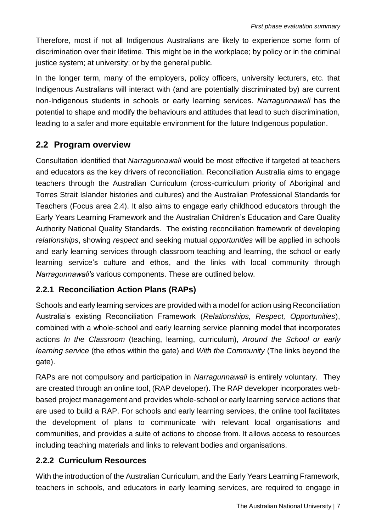Therefore, most if not all Indigenous Australians are likely to experience some form of discrimination over their lifetime. This might be in the workplace; by policy or in the criminal justice system; at university; or by the general public.

In the longer term, many of the employers, policy officers, university lecturers, etc. that Indigenous Australians will interact with (and are potentially discriminated by) are current non-Indigenous students in schools or early learning services. *Narragunnawali* has the potential to shape and modify the behaviours and attitudes that lead to such discrimination, leading to a safer and more equitable environment for the future Indigenous population.

#### <span id="page-6-0"></span>**2.2 Program overview**

Consultation identified that *Narragunnawali* would be most effective if targeted at teachers and educators as the key drivers of reconciliation. Reconciliation Australia aims to engage teachers through the Australian Curriculum (cross-curriculum priority of Aboriginal and Torres Strait Islander histories and cultures) and the Australian Professional Standards for Teachers (Focus area 2.4). It also aims to engage early childhood educators through the Early Years Learning Framework and the Australian Children's Education and Care Quality Authority National Quality Standards. The existing reconciliation framework of developing *relationships*, showing *respect* and seeking mutual *opportunities* will be applied in schools and early learning services through classroom teaching and learning, the school or early learning service's culture and ethos, and the links with local community through *Narragunnawali's* various components. These are outlined below.

#### <span id="page-6-1"></span>**2.2.1 Reconciliation Action Plans (RAPs)**

Schools and early learning services are provided with a model for action using Reconciliation Australia's existing Reconciliation Framework (*Relationships, Respect, Opportunities*), combined with a whole-school and early learning service planning model that incorporates actions *In the Classroom* (teaching, learning, curriculum), *Around the School or early learning service* (the ethos within the gate) and *With the Community* (The links beyond the gate).

RAPs are not compulsory and participation in *Narragunnawali* is entirely voluntary. They are created through an online tool, (RAP developer). The RAP developer incorporates webbased project management and provides whole-school or early learning service actions that are used to build a RAP. For schools and early learning services, the online tool facilitates the development of plans to communicate with relevant local organisations and communities, and provides a suite of actions to choose from. It allows access to resources including teaching materials and links to relevant bodies and organisations.

#### <span id="page-6-2"></span>**2.2.2 Curriculum Resources**

With the introduction of the Australian Curriculum, and the Early Years Learning Framework, teachers in schools, and educators in early learning services, are required to engage in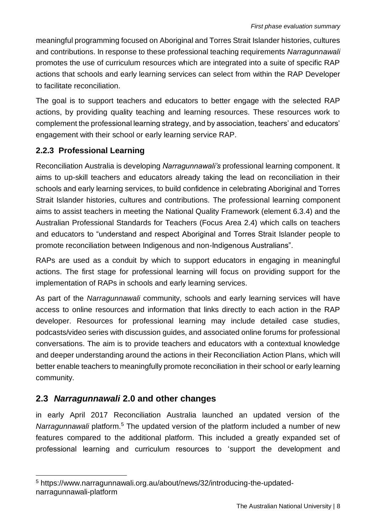meaningful programming focused on Aboriginal and Torres Strait Islander histories, cultures and contributions. In response to these professional teaching requirements *Narragunnawali* promotes the use of curriculum resources which are integrated into a suite of specific RAP actions that schools and early learning services can select from within the RAP Developer to facilitate reconciliation.

The goal is to support teachers and educators to better engage with the selected RAP actions, by providing quality teaching and learning resources. These resources work to complement the professional learning strategy, and by association, teachers' and educators' engagement with their school or early learning service RAP.

#### <span id="page-7-0"></span>**2.2.3 Professional Learning**

Reconciliation Australia is developing *Narragunnawali's* professional learning component. It aims to up-skill teachers and educators already taking the lead on reconciliation in their schools and early learning services, to build confidence in celebrating Aboriginal and Torres Strait Islander histories, cultures and contributions. The professional learning component aims to assist teachers in meeting the National Quality Framework (element 6.3.4) and the Australian Professional Standards for Teachers (Focus Area 2.4) which calls on teachers and educators to "understand and respect Aboriginal and Torres Strait Islander people to promote reconciliation between Indigenous and non-Indigenous Australians".

RAPs are used as a conduit by which to support educators in engaging in meaningful actions. The first stage for professional learning will focus on providing support for the implementation of RAPs in schools and early learning services.

As part of the *Narragunnawali* community, schools and early learning services will have access to online resources and information that links directly to each action in the RAP developer. Resources for professional learning may include detailed case studies, podcasts/video series with discussion guides, and associated online forums for professional conversations. The aim is to provide teachers and educators with a contextual knowledge and deeper understanding around the actions in their Reconciliation Action Plans, which will better enable teachers to meaningfully promote reconciliation in their school or early learning community.

#### <span id="page-7-1"></span>**2.3** *Narragunnawali* **2.0 and other changes**

l

in early April 2017 Reconciliation Australia launched an updated version of the *Narragunnawali* platform.<sup>5</sup> The updated version of the platform included a number of new features compared to the additional platform. This included a greatly expanded set of professional learning and curriculum resources to 'support the development and

<sup>5</sup> https://www.narragunnawali.org.au/about/news/32/introducing-the-updatednarragunnawali-platform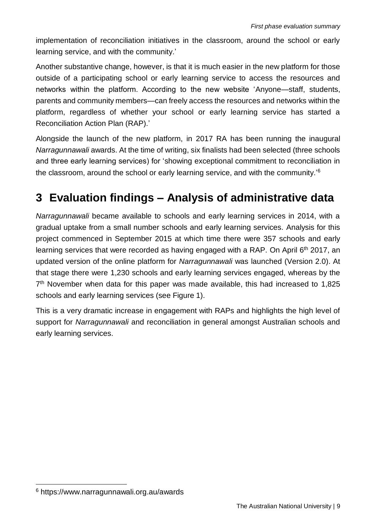implementation of reconciliation initiatives in the classroom, around the school or early learning service, and with the community.'

Another substantive change, however, is that it is much easier in the new platform for those outside of a participating school or early learning service to access the resources and networks within the platform. According to the new website 'Anyone—staff, students, parents and community members—can freely access the resources and networks within the platform, regardless of whether your school or early learning service has started a Reconciliation Action Plan (RAP).'

Alongside the launch of the new platform, in 2017 RA has been running the inaugural *Narragunnawali* awards. At the time of writing, six finalists had been selected (three schools and three early learning services) for 'showing exceptional commitment to reconciliation in the classroom, around the school or early learning service, and with the community.'<sup>6</sup>

## <span id="page-8-0"></span>**3 Evaluation findings – Analysis of administrative data**

*Narragunnawali* became available to schools and early learning services in 2014, with a gradual uptake from a small number schools and early learning services. Analysis for this project commenced in September 2015 at which time there were 357 schools and early learning services that were recorded as having engaged with a RAP. On April 6<sup>th</sup> 2017, an updated version of the online platform for *Narragunnawali* was launched (Version 2.0). At that stage there were 1,230 schools and early learning services engaged, whereas by the 7<sup>th</sup> November when data for this paper was made available, this had increased to 1,825 schools and early learning services (see Figure 1).

This is a very dramatic increase in engagement with RAPs and highlights the high level of support for *Narragunnawali* and reconciliation in general amongst Australian schools and early learning services.

l

<sup>6</sup> https://www.narragunnawali.org.au/awards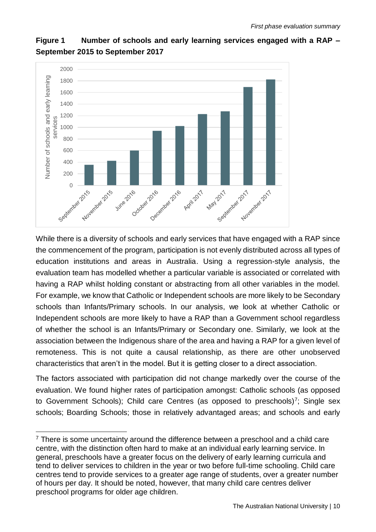

#### **Figure 1 Number of schools and early learning services engaged with a RAP – September 2015 to September 2017**

While there is a diversity of schools and early services that have engaged with a RAP since the commencement of the program, participation is not evenly distributed across all types of education institutions and areas in Australia. Using a regression-style analysis, the evaluation team has modelled whether a particular variable is associated or correlated with having a RAP whilst holding constant or abstracting from all other variables in the model. For example, we know that Catholic or Independent schools are more likely to be Secondary schools than Infants/Primary schools. In our analysis, we look at whether Catholic or Independent schools are more likely to have a RAP than a Government school regardless of whether the school is an Infants/Primary or Secondary one. Similarly, we look at the association between the Indigenous share of the area and having a RAP for a given level of remoteness. This is not quite a causal relationship, as there are other unobserved characteristics that aren't in the model. But it is getting closer to a direct association.

The factors associated with participation did not change markedly over the course of the evaluation. We found higher rates of participation amongst: Catholic schools (as opposed to Government Schools); Child care Centres (as opposed to preschools)<sup>7</sup>; Single sex schools; Boarding Schools; those in relatively advantaged areas; and schools and early

l

 $7$  There is some uncertainty around the difference between a preschool and a child care centre, with the distinction often hard to make at an individual early learning service. In general, preschools have a greater focus on the delivery of early learning curricula and tend to deliver services to children in the year or two before full-time schooling. Child care centres tend to provide services to a greater age range of students, over a greater number of hours per day. It should be noted, however, that many child care centres deliver preschool programs for older age children.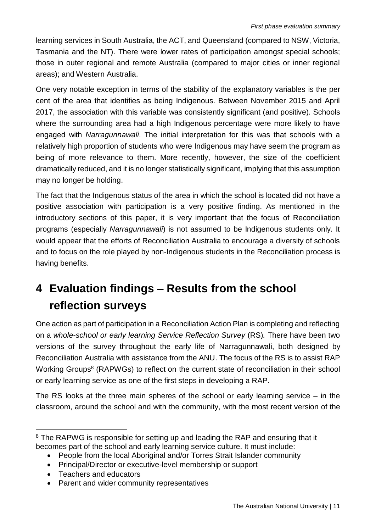learning services in South Australia, the ACT, and Queensland (compared to NSW, Victoria, Tasmania and the NT). There were lower rates of participation amongst special schools; those in outer regional and remote Australia (compared to major cities or inner regional areas); and Western Australia.

One very notable exception in terms of the stability of the explanatory variables is the per cent of the area that identifies as being Indigenous. Between November 2015 and April 2017, the association with this variable was consistently significant (and positive). Schools where the surrounding area had a high Indigenous percentage were more likely to have engaged with *Narragunnawali*. The initial interpretation for this was that schools with a relatively high proportion of students who were Indigenous may have seem the program as being of more relevance to them. More recently, however, the size of the coefficient dramatically reduced, and it is no longer statistically significant, implying that this assumption may no longer be holding.

The fact that the Indigenous status of the area in which the school is located did not have a positive association with participation is a very positive finding. As mentioned in the introductory sections of this paper, it is very important that the focus of Reconciliation programs (especially *Narragunnawali*) is not assumed to be Indigenous students only. It would appear that the efforts of Reconciliation Australia to encourage a diversity of schools and to focus on the role played by non-Indigenous students in the Reconciliation process is having benefits.

# <span id="page-10-0"></span>**4 Evaluation findings – Results from the school reflection surveys**

One action as part of participation in a Reconciliation Action Plan is completing and reflecting on a *whole*-*school or early learning Service Reflection Survey* (RS)*.* There have been two versions of the survey throughout the early life of Narragunnawali, both designed by Reconciliation Australia with assistance from the ANU. The focus of the RS is to assist RAP Working Groups<sup>8</sup> (RAPWGs) to reflect on the current state of reconciliation in their school or early learning service as one of the first steps in developing a RAP.

The RS looks at the three main spheres of the school or early learning service – in the classroom, around the school and with the community, with the most recent version of the

- People from the local Aboriginal and/or Torres Strait Islander community
- Principal/Director or executive-level membership or support
- Teachers and educators
- Parent and wider community representatives

l <sup>8</sup> The RAPWG is responsible for setting up and leading the RAP and ensuring that it becomes part of the school and early learning service culture. It must include: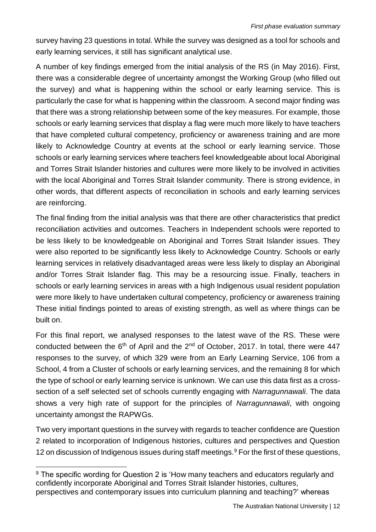survey having 23 questions in total. While the survey was designed as a tool for schools and early learning services, it still has significant analytical use.

A number of key findings emerged from the initial analysis of the RS (in May 2016). First, there was a considerable degree of uncertainty amongst the Working Group (who filled out the survey) and what is happening within the school or early learning service. This is particularly the case for what is happening within the classroom. A second major finding was that there was a strong relationship between some of the key measures. For example, those schools or early learning services that display a flag were much more likely to have teachers that have completed cultural competency, proficiency or awareness training and are more likely to Acknowledge Country at events at the school or early learning service. Those schools or early learning services where teachers feel knowledgeable about local Aboriginal and Torres Strait Islander histories and cultures were more likely to be involved in activities with the local Aboriginal and Torres Strait Islander community. There is strong evidence, in other words, that different aspects of reconciliation in schools and early learning services are reinforcing.

The final finding from the initial analysis was that there are other characteristics that predict reconciliation activities and outcomes. Teachers in Independent schools were reported to be less likely to be knowledgeable on Aboriginal and Torres Strait Islander issues. They were also reported to be significantly less likely to Acknowledge Country. Schools or early learning services in relatively disadvantaged areas were less likely to display an Aboriginal and/or Torres Strait Islander flag. This may be a resourcing issue. Finally, teachers in schools or early learning services in areas with a high Indigenous usual resident population were more likely to have undertaken cultural competency, proficiency or awareness training These initial findings pointed to areas of existing strength, as well as where things can be built on.

For this final report, we analysed responses to the latest wave of the RS. These were conducted between the  $6<sup>th</sup>$  of April and the  $2<sup>nd</sup>$  of October, 2017. In total, there were 447 responses to the survey, of which 329 were from an Early Learning Service, 106 from a School, 4 from a Cluster of schools or early learning services, and the remaining 8 for which the type of school or early learning service is unknown. We can use this data first as a crosssection of a self selected set of schools currently engaging with *Narragunnawali*. The data shows a very high rate of support for the principles of *Narragunnawali*, with ongoing uncertainty amongst the RAPWGs.

Two very important questions in the survey with regards to teacher confidence are Question 2 related to incorporation of Indigenous histories, cultures and perspectives and Question 12 on discussion of Indigenous issues during staff meetings.<sup>9</sup> For the first of these questions,

<sup>&</sup>lt;sup>9</sup> The specific wording for Question 2 is 'How many teachers and educators regularly and confidently incorporate Aboriginal and Torres Strait Islander histories, cultures, perspectives and contemporary issues into curriculum planning and teaching?' whereas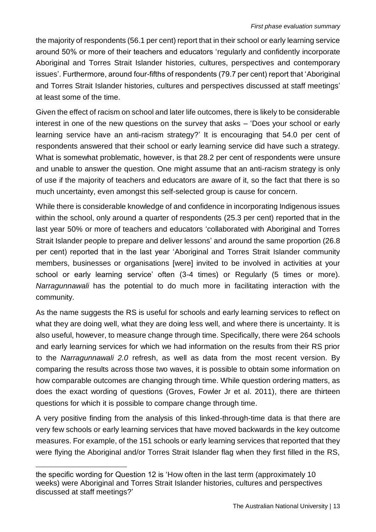the majority of respondents (56.1 per cent) report that in their school or early learning service around 50% or more of their teachers and educators 'regularly and confidently incorporate Aboriginal and Torres Strait Islander histories, cultures, perspectives and contemporary issues'. Furthermore, around four-fifths of respondents (79.7 per cent) report that 'Aboriginal and Torres Strait Islander histories, cultures and perspectives discussed at staff meetings' at least some of the time.

Given the effect of racism on school and later life outcomes, there is likely to be considerable interest in one of the new questions on the survey that asks – 'Does your school or early learning service have an anti-racism strategy?' It is encouraging that 54.0 per cent of respondents answered that their school or early learning service did have such a strategy. What is somewhat problematic, however, is that 28.2 per cent of respondents were unsure and unable to answer the question. One might assume that an anti-racism strategy is only of use if the majority of teachers and educators are aware of it, so the fact that there is so much uncertainty, even amongst this self-selected group is cause for concern.

While there is considerable knowledge of and confidence in incorporating Indigenous issues within the school, only around a quarter of respondents (25.3 per cent) reported that in the last year 50% or more of teachers and educators 'collaborated with Aboriginal and Torres Strait Islander people to prepare and deliver lessons' and around the same proportion (26.8 per cent) reported that in the last year 'Aboriginal and Torres Strait Islander community members, businesses or organisations [were] invited to be involved in activities at your school or early learning service' often (3-4 times) or Regularly (5 times or more). *Narragunnawali* has the potential to do much more in facilitating interaction with the community.

As the name suggests the RS is useful for schools and early learning services to reflect on what they are doing well, what they are doing less well, and where there is uncertainty. It is also useful, however, to measure change through time. Specifically, there were 264 schools and early learning services for which we had information on the results from their RS prior to the *Narragunnawali 2.0* refresh, as well as data from the most recent version. By comparing the results across those two waves, it is possible to obtain some information on how comparable outcomes are changing through time. While question ordering matters, as does the exact wording of questions (Groves, Fowler Jr et al. 2011), there are thirteen questions for which it is possible to compare change through time.

A very positive finding from the analysis of this linked-through-time data is that there are very few schools or early learning services that have moved backwards in the key outcome measures. For example, of the 151 schools or early learning services that reported that they were flying the Aboriginal and/or Torres Strait Islander flag when they first filled in the RS,

the specific wording for Question 12 is 'How often in the last term (approximately 10 weeks) were Aboriginal and Torres Strait Islander histories, cultures and perspectives discussed at staff meetings?'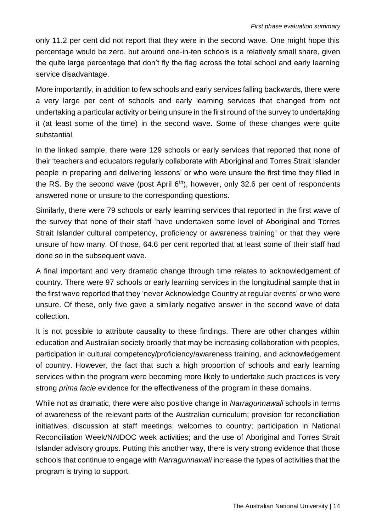only 11.2 per cent did not report that they were in the second wave. One might hope this percentage would be zero, but around one-in-ten schools is a relatively small share, given the quite large percentage that don't fly the flag across the total school and early learning service disadvantage.

More importantly, in addition to few schools and early services falling backwards, there were a very large per cent of schools and early learning services that changed from not undertaking a particular activity or being unsure in the first round of the survey to undertaking it (at least some of the time) in the second wave. Some of these changes were quite substantial.

In the linked sample, there were 129 schools or early services that reported that none of their 'teachers and educators regularly collaborate with Aboriginal and Torres Strait Islander people in preparing and delivering lessons' or who were unsure the first time they filled in the RS. By the second wave (post April  $6<sup>th</sup>$ ), however, only 32.6 per cent of respondents answered none or unsure to the corresponding questions.

Similarly, there were 79 schools or early learning services that reported in the first wave of the survey that none of their staff 'have undertaken some level of Aboriginal and Torres Strait Islander cultural competency, proficiency or awareness training' or that they were unsure of how many. Of those, 64.6 per cent reported that at least some of their staff had done so in the subsequent wave.

A final important and very dramatic change through time relates to acknowledgement of country. There were 97 schools or early learning services in the longitudinal sample that in the first wave reported that they 'never Acknowledge Country at regular events' or who were unsure. Of these, only five gave a similarly negative answer in the second wave of data collection.

It is not possible to attribute causality to these findings. There are other changes within education and Australian society broadly that may be increasing collaboration with peoples, participation in cultural competency/proficiency/awareness training, and acknowledgement of country. However, the fact that such a high proportion of schools and early learning services within the program were becoming more likely to undertake such practices is very strong *prima facie* evidence for the effectiveness of the program in these domains.

While not as dramatic, there were also positive change in *Narragunnawali* schools in terms of awareness of the relevant parts of the Australian curriculum; provision for reconciliation initiatives; discussion at staff meetings; welcomes to country; participation in National Reconciliation Week/NAIDOC week activities; and the use of Aboriginal and Torres Strait Islander advisory groups. Putting this another way, there is very strong evidence that those schools that continue to engage with *Narragunnawali* increase the types of activities that the program is trying to support.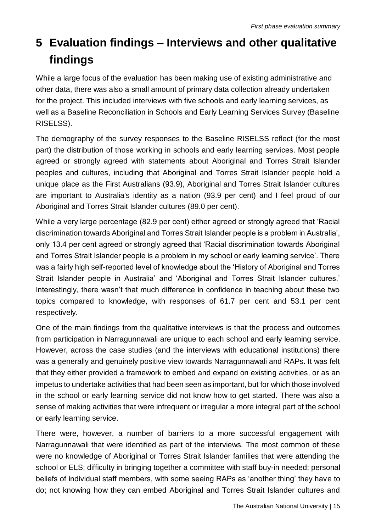# <span id="page-14-0"></span>**5 Evaluation findings – Interviews and other qualitative findings**

While a large focus of the evaluation has been making use of existing administrative and other data, there was also a small amount of primary data collection already undertaken for the project. This included interviews with five schools and early learning services, as well as a Baseline Reconciliation in Schools and Early Learning Services Survey (Baseline RISELSS).

The demography of the survey responses to the Baseline RISELSS reflect (for the most part) the distribution of those working in schools and early learning services. Most people agreed or strongly agreed with statements about Aboriginal and Torres Strait Islander peoples and cultures, including that Aboriginal and Torres Strait Islander people hold a unique place as the First Australians (93.9), Aboriginal and Torres Strait Islander cultures are important to Australia's identity as a nation (93.9 per cent) and I feel proud of our Aboriginal and Torres Strait Islander cultures (89.0 per cent).

While a very large percentage (82.9 per cent) either agreed or strongly agreed that 'Racial discrimination towards Aboriginal and Torres Strait Islander people is a problem in Australia', only 13.4 per cent agreed or strongly agreed that 'Racial discrimination towards Aboriginal and Torres Strait Islander people is a problem in my school or early learning service'. There was a fairly high self-reported level of knowledge about the 'History of Aboriginal and Torres Strait Islander people in Australia' and 'Aboriginal and Torres Strait Islander cultures.' Interestingly, there wasn't that much difference in confidence in teaching about these two topics compared to knowledge, with responses of 61.7 per cent and 53.1 per cent respectively.

One of the main findings from the qualitative interviews is that the process and outcomes from participation in Narragunnawali are unique to each school and early learning service. However, across the case studies (and the interviews with educational institutions) there was a generally and genuinely positive view towards Narragunnawali and RAPs. It was felt that they either provided a framework to embed and expand on existing activities, or as an impetus to undertake activities that had been seen as important, but for which those involved in the school or early learning service did not know how to get started. There was also a sense of making activities that were infrequent or irregular a more integral part of the school or early learning service.

There were, however, a number of barriers to a more successful engagement with Narragunnawali that were identified as part of the interviews. The most common of these were no knowledge of Aboriginal or Torres Strait Islander families that were attending the school or ELS; difficulty in bringing together a committee with staff buy-in needed; personal beliefs of individual staff members, with some seeing RAPs as 'another thing' they have to do; not knowing how they can embed Aboriginal and Torres Strait Islander cultures and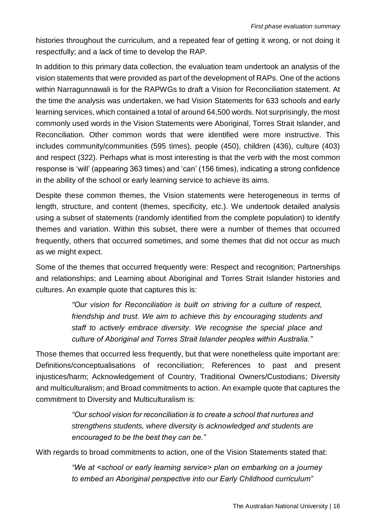histories throughout the curriculum, and a repeated fear of getting it wrong, or not doing it respectfully; and a lack of time to develop the RAP.

In addition to this primary data collection, the evaluation team undertook an analysis of the vision statements that were provided as part of the development of RAPs. One of the actions within Narragunnawali is for the RAPWGs to draft a Vision for Reconciliation statement. At the time the analysis was undertaken, we had Vision Statements for 633 schools and early learning services, which contained a total of around 64,500 words. Not surprisingly, the most commonly used words in the Vision Statements were Aboriginal, Torres Strait Islander, and Reconciliation. Other common words that were identified were more instructive. This includes community/communities (595 times), people (450), children (436), culture (403) and respect (322). Perhaps what is most interesting is that the verb with the most common response is 'will' (appearing 363 times) and 'can' (156 times), indicating a strong confidence in the ability of the school or early learning service to achieve its aims.

Despite these common themes, the Vision statements were heterogeneous in terms of length, structure, and content (themes, specificity, etc.). We undertook detailed analysis using a subset of statements (randomly identified from the complete population) to identify themes and variation. Within this subset, there were a number of themes that occurred frequently, others that occurred sometimes, and some themes that did not occur as much as we might expect.

Some of the themes that occurred frequently were: Respect and recognition; Partnerships and relationships; and Learning about Aboriginal and Torres Strait Islander histories and cultures. An example quote that captures this is:

> *"Our vision for Reconciliation is built on striving for a culture of respect, friendship and trust. We aim to achieve this by encouraging students and staff to actively embrace diversity. We recognise the special place and culture of Aboriginal and Torres Strait Islander peoples within Australia."*

Those themes that occurred less frequently, but that were nonetheless quite important are: Definitions/conceptualisations of reconciliation; References to past and present injustices/harm; Acknowledgement of Country, Traditional Owners/Custodians; Diversity and multiculturalism; and Broad commitments to action. An example quote that captures the commitment to Diversity and Multiculturalism is:

> *"Our school vision for reconciliation is to create a school that nurtures and strengthens students, where diversity is acknowledged and students are encouraged to be the best they can be."*

With regards to broad commitments to action, one of the Vision Statements stated that:

*"We at <school or early learning service> plan on embarking on a journey to embed an Aboriginal perspective into our Early Childhood curriculum"*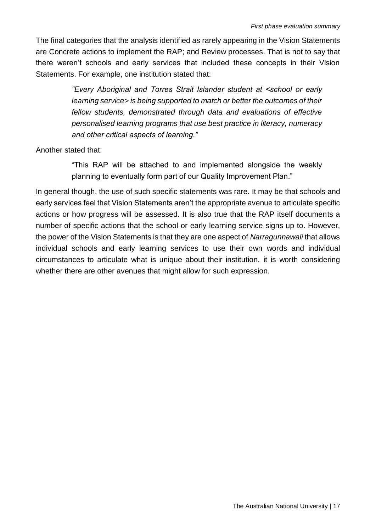The final categories that the analysis identified as rarely appearing in the Vision Statements are Concrete actions to implement the RAP; and Review processes. That is not to say that there weren't schools and early services that included these concepts in their Vision Statements. For example, one institution stated that:

> *"Every Aboriginal and Torres Strait Islander student at <school or early learning service> is being supported to match or better the outcomes of their fellow students, demonstrated through data and evaluations of effective personalised learning programs that use best practice in literacy, numeracy and other critical aspects of learning."*

Another stated that:

"This RAP will be attached to and implemented alongside the weekly planning to eventually form part of our Quality Improvement Plan."

In general though, the use of such specific statements was rare. It may be that schools and early services feel that Vision Statements aren't the appropriate avenue to articulate specific actions or how progress will be assessed. It is also true that the RAP itself documents a number of specific actions that the school or early learning service signs up to. However, the power of the Vision Statements is that they are one aspect of *Narragunnawali* that allows individual schools and early learning services to use their own words and individual circumstances to articulate what is unique about their institution. it is worth considering whether there are other avenues that might allow for such expression.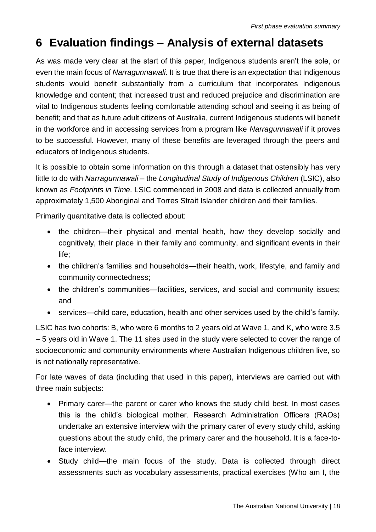# <span id="page-17-0"></span>**6 Evaluation findings – Analysis of external datasets**

As was made very clear at the start of this paper, Indigenous students aren't the sole, or even the main focus of *Narragunnawali*. It is true that there is an expectation that Indigenous students would benefit substantially from a curriculum that incorporates Indigenous knowledge and content; that increased trust and reduced prejudice and discrimination are vital to Indigenous students feeling comfortable attending school and seeing it as being of benefit; and that as future adult citizens of Australia, current Indigenous students will benefit in the workforce and in accessing services from a program like *Narragunnawali* if it proves to be successful. However, many of these benefits are leveraged through the peers and educators of Indigenous students.

It is possible to obtain some information on this through a dataset that ostensibly has very little to do with *Narragunnawali* – the *Longitudinal Study of Indigenous Children* (LSIC), also known as *Footprints in Time.* LSIC commenced in 2008 and data is collected annually from approximately 1,500 Aboriginal and Torres Strait Islander children and their families.

Primarily quantitative data is collected about:

- the children—their physical and mental health, how they develop socially and cognitively, their place in their family and community, and significant events in their life;
- the children's families and households—their health, work, lifestyle, and family and community connectedness;
- the children's communities—facilities, services, and social and community issues; and
- services—child care, education, health and other services used by the child's family.

LSIC has two cohorts: B, who were 6 months to 2 years old at Wave 1, and K, who were 3.5 – 5 years old in Wave 1. The 11 sites used in the study were selected to cover the range of socioeconomic and community environments where Australian Indigenous children live, so is not nationally representative.

For late waves of data (including that used in this paper), interviews are carried out with three main subjects:

- Primary carer—the parent or carer who knows the study child best. In most cases this is the child's biological mother. Research Administration Officers (RAOs) undertake an extensive interview with the primary carer of every study child, asking questions about the study child, the primary carer and the household. It is a face-toface interview.
- Study child—the main focus of the study. Data is collected through direct assessments such as vocabulary assessments, practical exercises (Who am I, the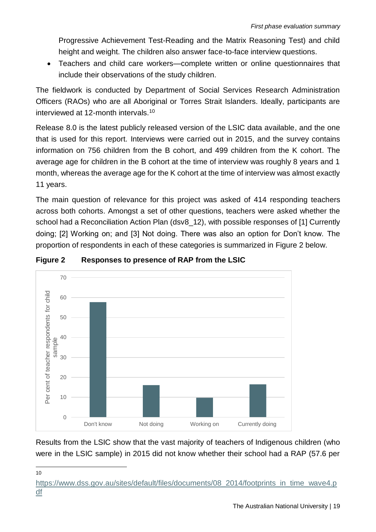Progressive Achievement Test-Reading and the Matrix Reasoning Test) and child height and weight. The children also answer face-to-face interview questions.

• Teachers and child care workers—complete written or online questionnaires that include their observations of the study children.

The fieldwork is conducted by Department of Social Services Research Administration Officers (RAOs) who are all Aboriginal or Torres Strait Islanders. Ideally, participants are interviewed at 12-month intervals.<sup>10</sup>

Release 8.0 is the latest publicly released version of the LSIC data available, and the one that is used for this report. Interviews were carried out in 2015, and the survey contains information on 756 children from the B cohort, and 499 children from the K cohort. The average age for children in the B cohort at the time of interview was roughly 8 years and 1 month, whereas the average age for the K cohort at the time of interview was almost exactly 11 years.

The main question of relevance for this project was asked of 414 responding teachers across both cohorts. Amongst a set of other questions, teachers were asked whether the school had a Reconciliation Action Plan (dsv8\_12), with possible responses of [1] Currently doing; [2] Working on; and [3] Not doing. There was also an option for Don't know. The proportion of respondents in each of these categories is summarized in Figure 2 below.



#### **Figure 2 Responses to presence of RAP from the LSIC**

Results from the LSIC show that the vast majority of teachers of Indigenous children (who were in the LSIC sample) in 2015 did not know whether their school had a RAP (57.6 per

 10

[https://www.dss.gov.au/sites/default/files/documents/08\\_2014/footprints\\_in\\_time\\_wave4.p](https://www.dss.gov.au/sites/default/files/documents/08_2014/footprints_in_time_wave4.pdf) [df](https://www.dss.gov.au/sites/default/files/documents/08_2014/footprints_in_time_wave4.pdf)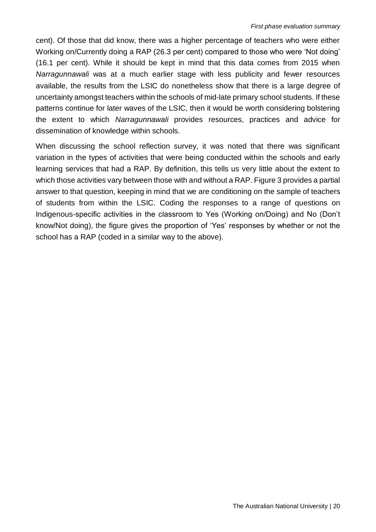cent). Of those that did know, there was a higher percentage of teachers who were either Working on/Currently doing a RAP (26.3 per cent) compared to those who were 'Not doing' (16.1 per cent). While it should be kept in mind that this data comes from 2015 when *Narragunnawali* was at a much earlier stage with less publicity and fewer resources available, the results from the LSIC do nonetheless show that there is a large degree of uncertainty amongst teachers within the schools of mid-late primary school students. If these patterns continue for later waves of the LSIC, then it would be worth considering bolstering the extent to which *Narragunnawali* provides resources, practices and advice for dissemination of knowledge within schools.

When discussing the school reflection survey, it was noted that there was significant variation in the types of activities that were being conducted within the schools and early learning services that had a RAP. By definition, this tells us very little about the extent to which those activities vary between those with and without a RAP. Figure 3 provides a partial answer to that question, keeping in mind that we are conditioning on the sample of teachers of students from within the LSIC. Coding the responses to a range of questions on Indigenous-specific activities in the classroom to Yes (Working on/Doing) and No (Don't know/Not doing), the figure gives the proportion of 'Yes' responses by whether or not the school has a RAP (coded in a similar way to the above).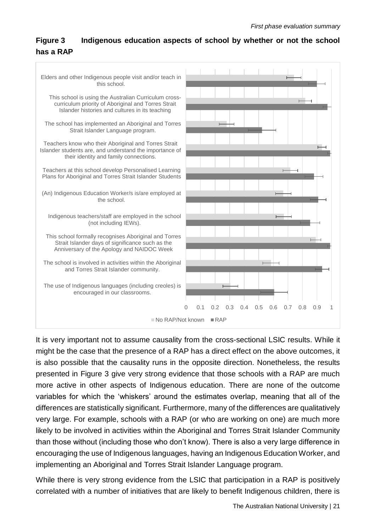#### **Figure 3 Indigenous education aspects of school by whether or not the school has a RAP**



It is very important not to assume causality from the cross-sectional LSIC results. While it might be the case that the presence of a RAP has a direct effect on the above outcomes, it is also possible that the causality runs in the opposite direction. Nonetheless, the results presented in Figure 3 give very strong evidence that those schools with a RAP are much more active in other aspects of Indigenous education. There are none of the outcome variables for which the 'whiskers' around the estimates overlap, meaning that all of the differences are statistically significant. Furthermore, many of the differences are qualitatively very large. For example, schools with a RAP (or who are working on one) are much more likely to be involved in activities within the Aboriginal and Torres Strait Islander Community than those without (including those who don't know). There is also a very large difference in encouraging the use of Indigenous languages, having an Indigenous Education Worker, and implementing an Aboriginal and Torres Strait Islander Language program.

While there is very strong evidence from the LSIC that participation in a RAP is positively correlated with a number of initiatives that are likely to benefit Indigenous children, there is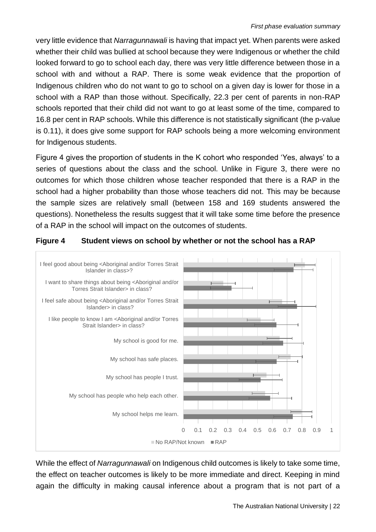very little evidence that *Narragunnawali* is having that impact yet. When parents were asked whether their child was bullied at school because they were Indigenous or whether the child looked forward to go to school each day, there was very little difference between those in a school with and without a RAP. There is some weak evidence that the proportion of Indigenous children who do not want to go to school on a given day is lower for those in a school with a RAP than those without. Specifically, 22.3 per cent of parents in non-RAP schools reported that their child did not want to go at least some of the time, compared to 16.8 per cent in RAP schools. While this difference is not statistically significant (the p-value is 0.11), it does give some support for RAP schools being a more welcoming environment for Indigenous students.

Figure 4 gives the proportion of students in the K cohort who responded 'Yes, always' to a series of questions about the class and the school. Unlike in Figure 3, there were no outcomes for which those children whose teacher responded that there is a RAP in the school had a higher probability than those whose teachers did not. This may be because the sample sizes are relatively small (between 158 and 169 students answered the questions). Nonetheless the results suggest that it will take some time before the presence of a RAP in the school will impact on the outcomes of students.

#### **Figure 4 Student views on school by whether or not the school has a RAP**



While the effect of *Narragunnawali* on Indigenous child outcomes is likely to take some time, the effect on teacher outcomes is likely to be more immediate and direct. Keeping in mind again the difficulty in making causal inference about a program that is not part of a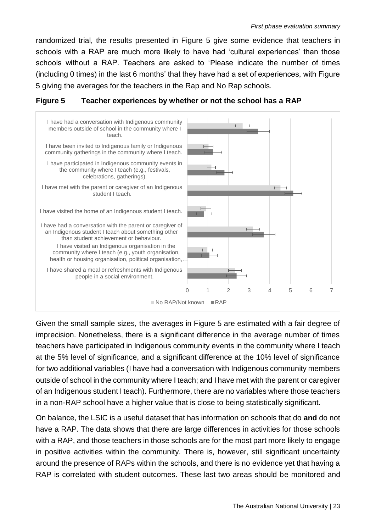randomized trial, the results presented in Figure 5 give some evidence that teachers in schools with a RAP are much more likely to have had 'cultural experiences' than those schools without a RAP. Teachers are asked to 'Please indicate the number of times (including 0 times) in the last 6 months' that they have had a set of experiences, with Figure 5 giving the averages for the teachers in the Rap and No Rap schools.



#### **Figure 5 Teacher experiences by whether or not the school has a RAP**

Given the small sample sizes, the averages in Figure 5 are estimated with a fair degree of imprecision. Nonetheless, there is a significant difference in the average number of times teachers have participated in Indigenous community events in the community where I teach at the 5% level of significance, and a significant difference at the 10% level of significance for two additional variables (I have had a conversation with Indigenous community members outside of school in the community where I teach; and I have met with the parent or caregiver of an Indigenous student I teach). Furthermore, there are no variables where those teachers in a non-RAP school have a higher value that is close to being statistically significant.

On balance, the LSIC is a useful dataset that has information on schools that do **and** do not have a RAP. The data shows that there are large differences in activities for those schools with a RAP, and those teachers in those schools are for the most part more likely to engage in positive activities within the community. There is, however, still significant uncertainty around the presence of RAPs within the schools, and there is no evidence yet that having a RAP is correlated with student outcomes. These last two areas should be monitored and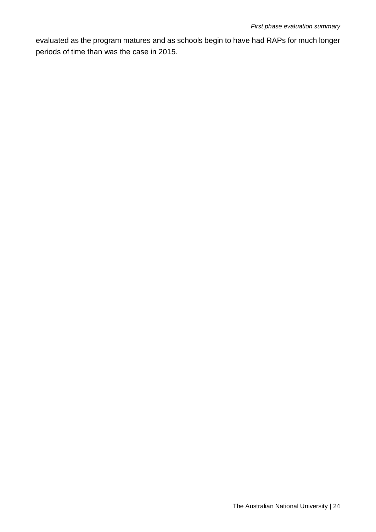evaluated as the program matures and as schools begin to have had RAPs for much longer periods of time than was the case in 2015.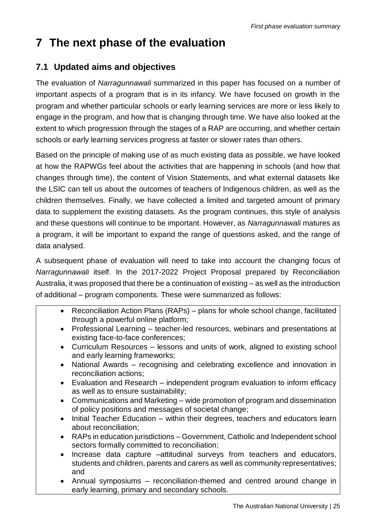## <span id="page-24-0"></span>**7 The next phase of the evaluation**

#### <span id="page-24-1"></span>**7.1 Updated aims and objectives**

The evaluation of *Narragunnawali* summarized in this paper has focused on a number of important aspects of a program that is in its infancy. We have focused on growth in the program and whether particular schools or early learning services are more or less likely to engage in the program, and how that is changing through time. We have also looked at the extent to which progression through the stages of a RAP are occurring, and whether certain schools or early learning services progress at faster or slower rates than others.

Based on the principle of making use of as much existing data as possible, we have looked at how the RAPWGs feel about the activities that are happening in schools (and how that changes through time), the content of Vision Statements, and what external datasets like the LSIC can tell us about the outcomes of teachers of Indigenous children, as well as the children themselves. Finally, we have collected a limited and targeted amount of primary data to supplement the existing datasets. As the program continues, this style of analysis and these questions will continue to be important. However, as *Narragunnawali* matures as a program, it will be important to expand the range of questions asked, and the range of data analysed.

A subsequent phase of evaluation will need to take into account the changing focus of *Narragunnawali* itself. In the 2017-2022 Project Proposal prepared by Reconciliation Australia, it was proposed that there be a continuation of existing – as well as the introduction of additional – program components. These were summarized as follows:

- Reconciliation Action Plans (RAPs) plans for whole school change, facilitated through a powerful online platform;
- Professional Learning teacher-led resources, webinars and presentations at existing face-to-face conferences;
- Curriculum Resources lessons and units of work, aligned to existing school and early learning frameworks;
- National Awards recognising and celebrating excellence and innovation in reconciliation actions;
- Evaluation and Research independent program evaluation to inform efficacy as well as to ensure sustainability;
- Communications and Marketing wide promotion of program and dissemination of policy positions and messages of societal change;
- Initial Teacher Education within their degrees, teachers and educators learn about reconciliation;
- RAPs in education jurisdictions Government, Catholic and Independent school sectors formally committed to reconciliation;
- Increase data capture –attitudinal surveys from teachers and educators, students and children, parents and carers as well as community representatives; and
- Annual symposiums reconciliation-themed and centred around change in early learning, primary and secondary schools.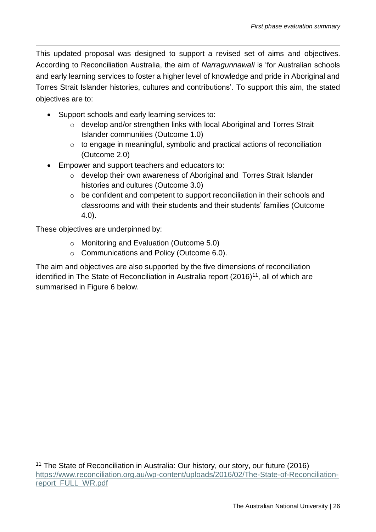This updated proposal was designed to support a revised set of aims and objectives. According to Reconciliation Australia, the aim of *Narragunnawali* is 'for Australian schools and early learning services to foster a higher level of knowledge and pride in Aboriginal and Torres Strait Islander histories, cultures and contributions'. To support this aim, the stated objectives are to:

- Support schools and early learning services to:
	- o develop and/or strengthen links with local Aboriginal and Torres Strait Islander communities (Outcome 1.0)
	- o to engage in meaningful, symbolic and practical actions of reconciliation (Outcome 2.0)
- Empower and support teachers and educators to:
	- o develop their own awareness of Aboriginal and Torres Strait Islander histories and cultures (Outcome 3.0)
	- o be confident and competent to support reconciliation in their schools and classrooms and with their students and their students' families (Outcome 4.0).

These objectives are underpinned by:

l

- o Monitoring and Evaluation (Outcome 5.0)
- o Communications and Policy (Outcome 6.0).

The aim and objectives are also supported by the five dimensions of reconciliation identified in The State of Reconciliation in Australia report (2016)<sup>11</sup>, all of which are summarised in Figure 6 below.

<sup>11</sup> The State of Reconciliation in Australia: Our history, our story, our future (2016) [https://www.reconciliation.org.au/wp-content/uploads/2016/02/The-State-of-Reconciliation](https://www.reconciliation.org.au/wp-content/uploads/2016/02/The-State-of-Reconciliation-report_FULL_WR.pdf)[report\\_FULL\\_WR.pdf](https://www.reconciliation.org.au/wp-content/uploads/2016/02/The-State-of-Reconciliation-report_FULL_WR.pdf)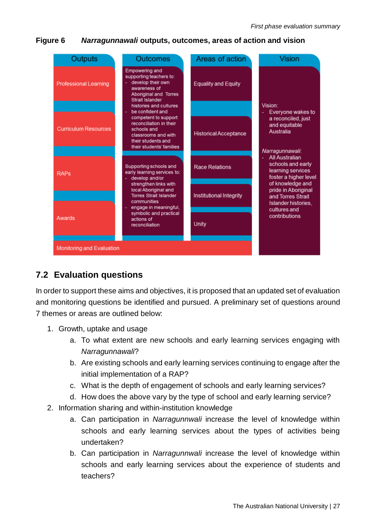**Figure 6** *Narragunnawali* **outputs, outcomes, areas of action and vision**



#### <span id="page-26-0"></span>**7.2 Evaluation questions**

In order to support these aims and objectives, it is proposed that an updated set of evaluation and monitoring questions be identified and pursued. A preliminary set of questions around 7 themes or areas are outlined below:

- 1. Growth, uptake and usage
	- a. To what extent are new schools and early learning services engaging with *Narragunnawali*?
	- b. Are existing schools and early learning services continuing to engage after the initial implementation of a RAP?
	- c. What is the depth of engagement of schools and early learning services?
	- d. How does the above vary by the type of school and early learning service?
- 2. Information sharing and within-institution knowledge
	- a. Can participation in *Narragunnwali* increase the level of knowledge within schools and early learning services about the types of activities being undertaken?
	- b. Can participation in *Narragunnwali* increase the level of knowledge within schools and early learning services about the experience of students and teachers?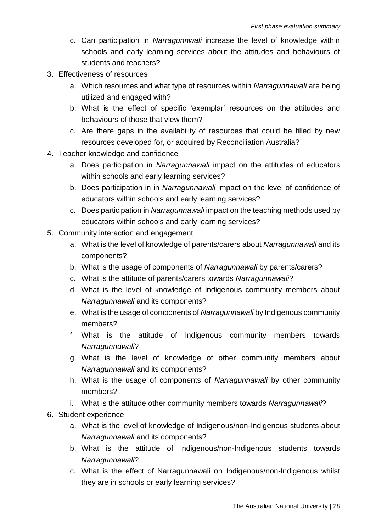- c. Can participation in *Narragunnwali* increase the level of knowledge within schools and early learning services about the attitudes and behaviours of students and teachers?
- 3. Effectiveness of resources
	- a. Which resources and what type of resources within *Narragunnawali* are being utilized and engaged with?
	- b. What is the effect of specific 'exemplar' resources on the attitudes and behaviours of those that view them?
	- c. Are there gaps in the availability of resources that could be filled by new resources developed for, or acquired by Reconciliation Australia?
- 4. Teacher knowledge and confidence
	- a. Does participation in *Narragunnawali* impact on the attitudes of educators within schools and early learning services?
	- b. Does participation in in *Narragunnawali* impact on the level of confidence of educators within schools and early learning services?
	- c. Does participation in *Narragunnawali* impact on the teaching methods used by educators within schools and early learning services?
- 5. Community interaction and engagement
	- a. What is the level of knowledge of parents/carers about *Narragunnawali* and its components?
	- b. What is the usage of components of *Narragunnawali* by parents/carers?
	- c. What is the attitude of parents/carers towards *Narragunnawali*?
	- d. What is the level of knowledge of Indigenous community members about *Narragunnawali* and its components?
	- e. What is the usage of components of *Narragunnawali* by Indigenous community members?
	- f. What is the attitude of Indigenous community members towards *Narragunnawali*?
	- g. What is the level of knowledge of other community members about *Narragunnawali* and its components?
	- h. What is the usage of components of *Narragunnawali* by other community members?
	- i. What is the attitude other community members towards *Narragunnawali*?
- 6. Student experience
	- a. What is the level of knowledge of Indigenous/non-Indigenous students about *Narragunnawali* and its components?
	- b. What is the attitude of Indigenous/non-Indigenous students towards *Narragunnawali*?
	- c. What is the effect of Narragunnawali on Indigenous/non-Indigenous whilst they are in schools or early learning services?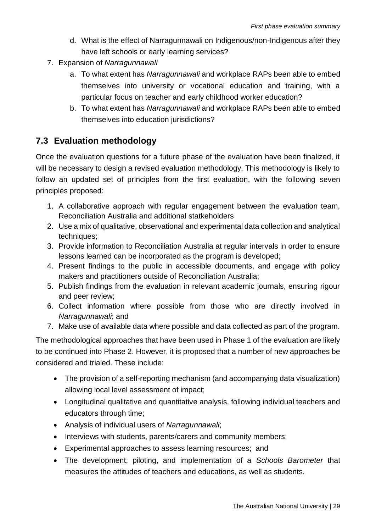- d. What is the effect of Narragunnawali on Indigenous/non-Indigenous after they have left schools or early learning services?
- 7. Expansion of *Narragunnawali*
	- a. To what extent has *Narragunnawali* and workplace RAPs been able to embed themselves into university or vocational education and training, with a particular focus on teacher and early childhood worker education?
	- b. To what extent has *Narragunnawali* and workplace RAPs been able to embed themselves into education jurisdictions?

#### <span id="page-28-0"></span>**7.3 Evaluation methodology**

Once the evaluation questions for a future phase of the evaluation have been finalized, it will be necessary to design a revised evaluation methodology. This methodology is likely to follow an updated set of principles from the first evaluation, with the following seven principles proposed:

- 1. A collaborative approach with regular engagement between the evaluation team, Reconciliation Australia and additional statkeholders
- 2. Use a mix of qualitative, observational and experimental data collection and analytical techniques;
- 3. Provide information to Reconciliation Australia at regular intervals in order to ensure lessons learned can be incorporated as the program is developed;
- 4. Present findings to the public in accessible documents, and engage with policy makers and practitioners outside of Reconciliation Australia;
- 5. Publish findings from the evaluation in relevant academic journals, ensuring rigour and peer review;
- 6. Collect information where possible from those who are directly involved in *Narragunnawali*; and
- 7. Make use of available data where possible and data collected as part of the program.

The methodological approaches that have been used in Phase 1 of the evaluation are likely to be continued into Phase 2. However, it is proposed that a number of new approaches be considered and trialed. These include:

- The provision of a self-reporting mechanism (and accompanying data visualization) allowing local level assessment of impact;
- Longitudinal qualitative and quantitative analysis, following individual teachers and educators through time;
- Analysis of individual users of *Narragunnawali*;
- Interviews with students, parents/carers and community members;
- Experimental approaches to assess learning resources; and
- The development, piloting, and implementation of a *Schools Barometer* that measures the attitudes of teachers and educations, as well as students.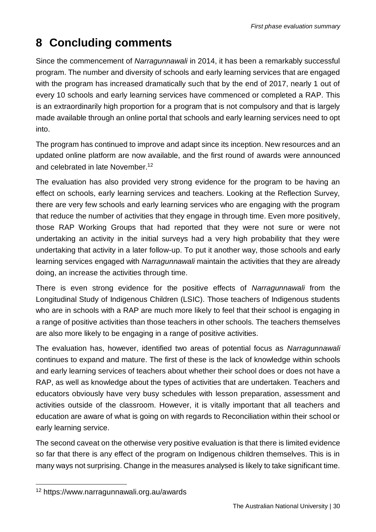# <span id="page-29-0"></span>**8 Concluding comments**

Since the commencement of *Narragunnawali* in 2014, it has been a remarkably successful program. The number and diversity of schools and early learning services that are engaged with the program has increased dramatically such that by the end of 2017, nearly 1 out of every 10 schools and early learning services have commenced or completed a RAP. This is an extraordinarily high proportion for a program that is not compulsory and that is largely made available through an online portal that schools and early learning services need to opt into.

The program has continued to improve and adapt since its inception. New resources and an updated online platform are now available, and the first round of awards were announced and celebrated in late November.<sup>12</sup>

The evaluation has also provided very strong evidence for the program to be having an effect on schools, early learning services and teachers. Looking at the Reflection Survey, there are very few schools and early learning services who are engaging with the program that reduce the number of activities that they engage in through time. Even more positively, those RAP Working Groups that had reported that they were not sure or were not undertaking an activity in the initial surveys had a very high probability that they were undertaking that activity in a later follow-up. To put it another way, those schools and early learning services engaged with *Narragunnawali* maintain the activities that they are already doing, an increase the activities through time.

There is even strong evidence for the positive effects of *Narragunnawali* from the Longitudinal Study of Indigenous Children (LSIC). Those teachers of Indigenous students who are in schools with a RAP are much more likely to feel that their school is engaging in a range of positive activities than those teachers in other schools. The teachers themselves are also more likely to be engaging in a range of positive activities.

The evaluation has, however, identified two areas of potential focus as *Narragunnawali* continues to expand and mature. The first of these is the lack of knowledge within schools and early learning services of teachers about whether their school does or does not have a RAP, as well as knowledge about the types of activities that are undertaken. Teachers and educators obviously have very busy schedules with lesson preparation, assessment and activities outside of the classroom. However, it is vitally important that all teachers and education are aware of what is going on with regards to Reconciliation within their school or early learning service.

The second caveat on the otherwise very positive evaluation is that there is limited evidence so far that there is any effect of the program on Indigenous children themselves. This is in many ways not surprising. Change in the measures analysed is likely to take significant time.

l

<sup>12</sup> https://www.narragunnawali.org.au/awards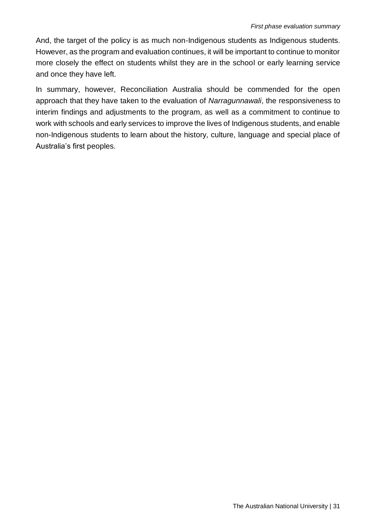And, the target of the policy is as much non-Indigenous students as Indigenous students. However, as the program and evaluation continues, it will be important to continue to monitor more closely the effect on students whilst they are in the school or early learning service and once they have left.

In summary, however, Reconciliation Australia should be commended for the open approach that they have taken to the evaluation of *Narragunnawali*, the responsiveness to interim findings and adjustments to the program, as well as a commitment to continue to work with schools and early services to improve the lives of Indigenous students, and enable non-Indigenous students to learn about the history, culture, language and special place of Australia's first peoples.